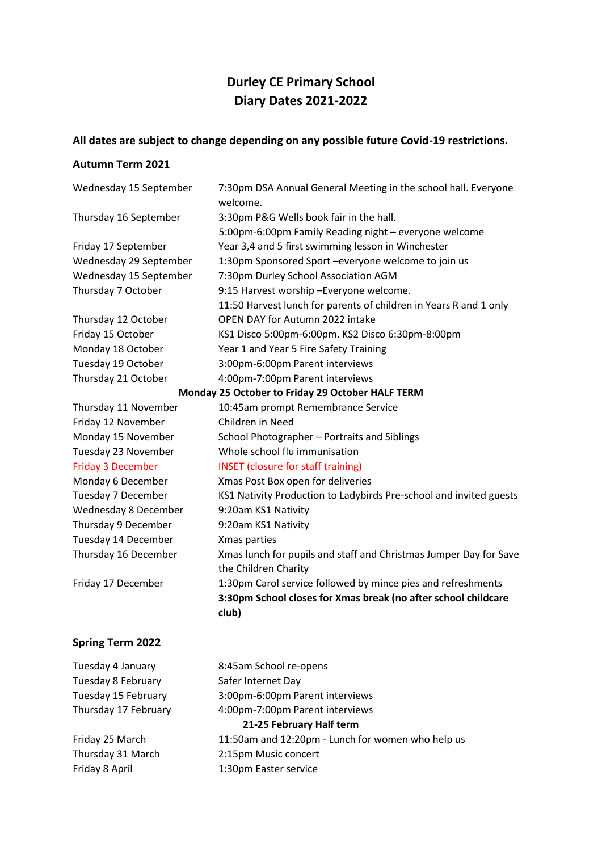# **Durley CE Primary School Diary Dates 2021-2022**

## **All dates are subject to change depending on any possible future Covid-19 restrictions.**

#### **Autumn Term 2021**

| Wednesday 15 September                           | 7:30pm DSA Annual General Meeting in the school hall. Everyone<br>welcome. |  |
|--------------------------------------------------|----------------------------------------------------------------------------|--|
| Thursday 16 September                            | 3:30pm P&G Wells book fair in the hall.                                    |  |
|                                                  | 5:00pm-6:00pm Family Reading night - everyone welcome                      |  |
| Friday 17 September                              | Year 3,4 and 5 first swimming lesson in Winchester                         |  |
| Wednesday 29 September                           | 1:30pm Sponsored Sport -everyone welcome to join us                        |  |
| Wednesday 15 September                           | 7:30pm Durley School Association AGM                                       |  |
| Thursday 7 October                               | 9:15 Harvest worship - Everyone welcome.                                   |  |
|                                                  | 11:50 Harvest lunch for parents of children in Years R and 1 only          |  |
| Thursday 12 October                              | OPEN DAY for Autumn 2022 intake                                            |  |
| Friday 15 October                                | KS1 Disco 5:00pm-6:00pm. KS2 Disco 6:30pm-8:00pm                           |  |
| Monday 18 October                                | Year 1 and Year 5 Fire Safety Training                                     |  |
| Tuesday 19 October                               | 3:00pm-6:00pm Parent interviews                                            |  |
| Thursday 21 October                              | 4:00pm-7:00pm Parent interviews                                            |  |
| Monday 25 October to Friday 29 October HALF TERM |                                                                            |  |
| Thursday 11 November                             | 10:45am prompt Remembrance Service                                         |  |
| Friday 12 November                               | Children in Need                                                           |  |
| Monday 15 November                               | School Photographer - Portraits and Siblings                               |  |
| Tuesday 23 November                              | Whole school flu immunisation                                              |  |
| <b>Friday 3 December</b>                         | <b>INSET</b> (closure for staff training)                                  |  |
| Monday 6 December                                | Xmas Post Box open for deliveries                                          |  |
| Tuesday 7 December                               | KS1 Nativity Production to Ladybirds Pre-school and invited guests         |  |
| Wednesday 8 December                             | 9:20am KS1 Nativity                                                        |  |
| Thursday 9 December                              | 9:20am KS1 Nativity                                                        |  |
| Tuesday 14 December                              | Xmas parties                                                               |  |
| Thursday 16 December                             | Xmas lunch for pupils and staff and Christmas Jumper Day for Save          |  |
|                                                  | the Children Charity                                                       |  |
| Friday 17 December                               | 1:30pm Carol service followed by mince pies and refreshments               |  |
|                                                  | 3:30pm School closes for Xmas break (no after school childcare             |  |
|                                                  | club)                                                                      |  |
|                                                  |                                                                            |  |

## **Spring Term 2022**

| Tuesday 4 January    | 8:45am School re-opens                            |
|----------------------|---------------------------------------------------|
| Tuesday 8 February   | Safer Internet Day                                |
| Tuesday 15 February  | 3:00pm-6:00pm Parent interviews                   |
| Thursday 17 February | 4:00pm-7:00pm Parent interviews                   |
|                      | 21-25 February Half term                          |
| Friday 25 March      | 11:50am and 12:20pm - Lunch for women who help us |
| Thursday 31 March    | 2:15pm Music concert                              |
| Friday 8 April       | 1:30pm Easter service                             |
|                      |                                                   |